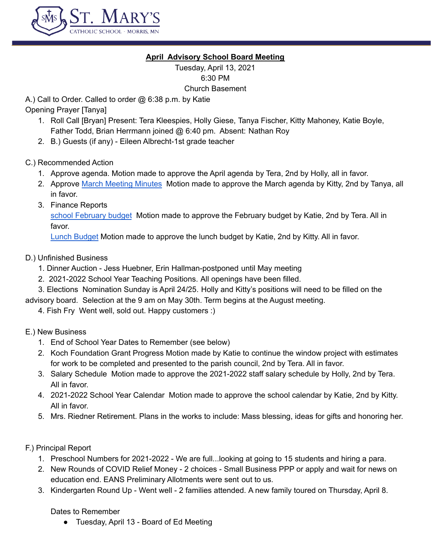

## **April Advisory School Board Meeting**

Tuesday, April 13, 2021 6:30 PM Church Basement

A.) Call to Order. Called to order @ 6:38 p.m. by Katie

Opening Prayer [Tanya]

- 1. Roll Call [Bryan] Present: Tera Kleespies, Holly Giese, Tanya Fischer, Kitty Mahoney, Katie Boyle, Father Todd, Brian Herrmann joined @ 6:40 pm. Absent: Nathan Roy
- 2. B.) Guests (if any) Eileen Albrecht-1st grade teacher
- C.) Recommended Action
	- 1. Approve agenda. Motion made to approve the April agenda by Tera, 2nd by Holly, all in favor.
	- 2. Approve March [Meeting](https://docs.google.com/document/d/1QZmHHB2mXR-BzvY0Hv-3n5Wf4S9-2MJaYI63eZnEPUw/edit) Minutes Motion made to approve the March agenda by Kitty, 2nd by Tanya, all in favor.
	- 3. Finance Reports

school [February](https://docs.google.com/spreadsheets/d/1bDxxFsjFBiydh6wVVSaAmkTjFkcFF_wM/edit#gid=1267813307) budget Motion made to approve the February budget by Katie, 2nd by Tera. All in favor.

Lunch [Budget](https://docs.google.com/spreadsheets/d/1Ma7OHvDwWMV36K_Lsclp6kSmUqim9JLH/edit#gid=105740976) Motion made to approve the lunch budget by Katie, 2nd by Kitty. All in favor.

- D.) Unfinished Business
	- 1. Dinner Auction Jess Huebner, Erin Hallman-postponed until May meeting
	- 2. 2021-2022 School Year Teaching Positions. All openings have been filled.

3. Elections Nomination Sunday is April 24/25. Holly and Kitty's positions will need to be filled on the

advisory board. Selection at the 9 am on May 30th. Term begins at the August meeting.

4. Fish Fry Went well, sold out. Happy customers :)

E.) New Business

- 1. End of School Year Dates to Remember (see below)
- 2. Koch Foundation Grant Progress Motion made by Katie to continue the window project with estimates for work to be completed and presented to the parish council, 2nd by Tera. All in favor.
- 3. Salary Schedule Motion made to approve the 2021-2022 staff salary schedule by Holly, 2nd by Tera. All in favor.
- 4. 2021-2022 School Year Calendar Motion made to approve the school calendar by Katie, 2nd by Kitty. All in favor.
- 5. Mrs. Riedner Retirement. Plans in the works to include: Mass blessing, ideas for gifts and honoring her.

F.) Principal Report

- 1. Preschool Numbers for 2021-2022 We are full...looking at going to 15 students and hiring a para.
- 2. New Rounds of COVID Relief Money 2 choices Small Business PPP or apply and wait for news on education end. EANS Preliminary Allotments were sent out to us.
- 3. Kindergarten Round Up Went well 2 families attended. A new family toured on Thursday, April 8.

Dates to Remember

● Tuesday, April 13 - Board of Ed Meeting